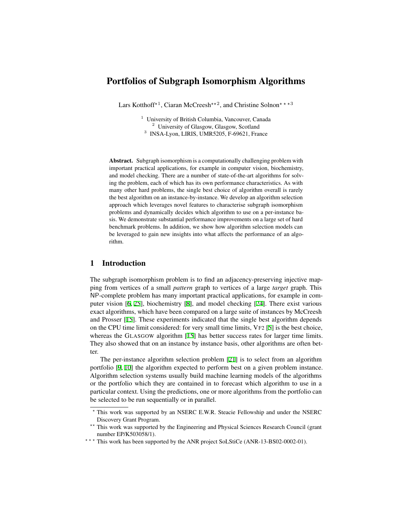# Portfolios of Subgraph Isomorphism Algorithms

Lars Kotthoff<sup>\*1</sup>, Ciaran McCreesh<sup>\*\*2</sup>, and Christine Solnon<sup>\*\*\*3</sup>

<sup>1</sup> University of British Columbia, Vancouver, Canada <sup>2</sup> University of Glasgow, Glasgow, Scotland 3 INSA-Lyon, LIRIS, UMR5205, F-69621, France

Abstract. Subgraph isomorphism is a computationally challenging problem with important practical applications, for example in computer vision, biochemistry, and model checking. There are a number of state-of-the-art algorithms for solving the problem, each of which has its own performance characteristics. As with many other hard problems, the single best choice of algorithm overall is rarely the best algorithm on an instance-by-instance. We develop an algorithm selection approach which leverages novel features to characterise subgraph isomorphism problems and dynamically decides which algorithm to use on a per-instance basis. We demonstrate substantial performance improvements on a large set of hard benchmark problems. In addition, we show how algorithm selection models can be leveraged to gain new insights into what affects the performance of an algorithm.

### 1 Introduction

The subgraph isomorphism problem is to find an adjacency-preserving injective mapping from vertices of a small *pattern* graph to vertices of a large *target* graph. This NP-complete problem has many important practical applications, for example in computer vision [\[6](#page-13-0), [25\]](#page-14-0), biochemistry [\[8](#page-13-1)], and model checking [[24\]](#page-14-1). There exist various exact algorithms, which have been compared on a large suite of instances by McCreesh and Prosser [\[15](#page-14-2)]. These experiments indicated that the single best algorithm depends on the CPU time limit considered: for very small time limits, VF2 [[5\]](#page-13-2) is the best choice, whereas the GLASGOW algorithm [\[15](#page-14-2)] has better success rates for larger time limits. They also showed that on an instance by instance basis, other algorithms are often better.

The per-instance algorithm selection problem [[21\]](#page-14-3) is to select from an algorithm portfolio [\[9](#page-14-4), [10\]](#page-14-5) the algorithm expected to perform best on a given problem instance. Algorithm selection systems usually build machine learning models of the algorithms or the portfolio which they are contained in to forecast which algorithm to use in a particular context. Using the predictions, one or more algorithms from the portfolio can be selected to be run sequentially or in parallel.

*<sup>⋆</sup>* This work was supported by an NSERC E.W.R. Steacie Fellowship and under the NSERC Discovery Grant Program.

*<sup>⋆⋆</sup>* This work was supported by the Engineering and Physical Sciences Research Council (grant number EP/K503058/1).

*<sup>⋆ ⋆ ⋆</sup>* This work has been supported by the ANR project SoLStiCe (ANR-13-BS02-0002-01).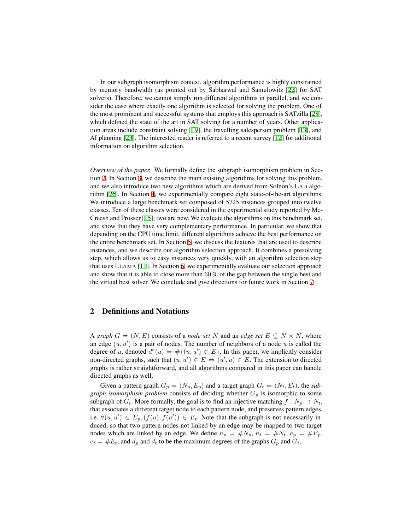In our subgraph isomorphism context, algorithm performance is highly constrained by memory bandwidth (as pointed out by Sabharwal and Samulowitz [\[22](#page-14-6)] for SAT solvers). Therefore, we cannot simply run different algorithms in parallel, and we consider the case where exactly one algorithm is selected for solving the problem. One of the most prominent and successful systems that employs this approach is SATzilla [\[28](#page-14-7)], which defined the state of the art in SAT solving for a number of years. Other application areas include constraint solving [[19\]](#page-14-8), the travelling salesperson problem [[13\]](#page-14-9), and AI planning [[23\]](#page-14-10). The interested reader is referred to a recent survey [\[12](#page-14-11)] for additional information on algorithm selection.

*Overview of the paper.* We formally define the subgraph isomorphism problem in Section [2.](#page-1-0) In Section [3](#page-2-0), we describe the main existing algorithms for solving this problem, and we also introduce two new algorithms which are derived from Solnon's LAD algorithm [[26\]](#page-14-12). In Section [4](#page-3-0), we experimentally compare eight state-of-the-art algorithms. We introduce a large benchmark set composed of 5725 instances grouped into twelve classes. Ten of these classes were considered in the experimental study reported by Mc-Creesh and Prosser [[15\]](#page-14-2); two are new. We evaluate the algorithms on this benchmark set, and show that they have very complementary performance. In particular, we show that depending on the CPU time limit, different algorithms achieve the best performance on the entire benchmark set. In Section [5](#page-7-0), we discuss the features that are used to describe instances, and we describe our algorithm selection approach. It combines a presolving step, which allows us to easy instances very quickly, with an algorithm selection step that uses LLAMA [\[11](#page-14-13)]. In Section [6](#page-9-0), we experimentally evaluate our selection approach and show that it is able to close more than 60 % of the gap between the single best and the virtual best solver. We conclude and give directions for future work in Section [7.](#page-13-3)

### <span id="page-1-0"></span>2 Definitions and Notations

A graph  $G = (N, E)$  consists of a *node set* N and an *edge set*  $E \subseteq N \times N$ , where an edge (*u, u′* ) is a pair of nodes. The number of neighbors of a node *u* is called the degree of *u*, denoted  $d^{\circ}(u) = \#\{(u, u') \in E\}$ . In this paper, we implicitly consider non-directed graphs, such that  $(u, u') \in E \Leftrightarrow (u', u) \in E$ . The extension to directed graphs is rather straightforward, and all algorithms compared in this paper can handle directed graphs as well.

Given a pattern graph  $G_p = (N_p, E_p)$  and a target graph  $G_t = (N_t, E_t)$ , the *subgraph isomorphism problem* consists of deciding whether *G<sup>p</sup>* is isomorphic to some subgraph of  $G_t$ . More formally, the goal is to find an injective matching  $f: N_p \to N_t$ , that associates a different target node to each pattern node, and preserves pattern edges, i.e.  $\forall (u, u') \in E_p$ ,  $(f(u), f(u')) \in E_t$ . Note that the subgraph is not necessarily induced, so that two pattern nodes not linked by an edge may be mapped to two target nodes which are linked by an edge. We define  $n_p = \#N_p$ ,  $n_t = \#N_t$ ,  $e_p = \#E_p$ ,  $e_t = \#E_t$ , and  $d_p$  and  $d_t$  to be the maximum degrees of the graphs  $G_p$  and  $G_t$ .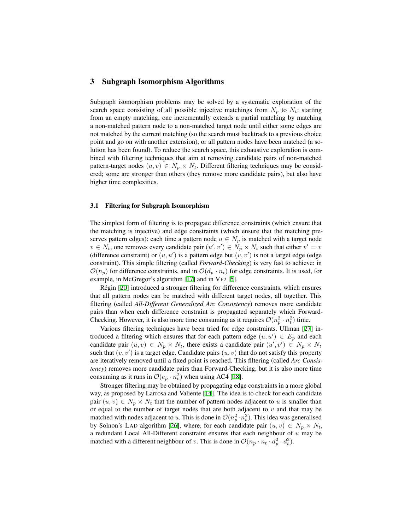### <span id="page-2-0"></span>3 Subgraph Isomorphism Algorithms

Subgraph isomorphism problems may be solved by a systematic exploration of the search space consisting of all possible injective matchings from  $N_p$  to  $N_t$ : starting from an empty matching, one incrementally extends a partial matching by matching a non-matched pattern node to a non-matched target node until either some edges are not matched by the current matching (so the search must backtrack to a previous choice point and go on with another extension), or all pattern nodes have been matched (a solution has been found). To reduce the search space, this exhaustive exploration is combined with filtering techniques that aim at removing candidate pairs of non-matched pattern-target nodes  $(u, v) \in N_p \times N_t$ . Different filtering techniques may be considered; some are stronger than others (they remove more candidate pairs), but also have higher time complexities.

### 3.1 Filtering for Subgraph Isomorphism

The simplest form of filtering is to propagate difference constraints (which ensure that the matching is injective) and edge constraints (which ensure that the matching preserves pattern edges): each time a pattern node  $u \in N_p$  is matched with a target node  $v \in N_t$ , one removes every candidate pair  $(u', v') \in N_p \times N_t$  such that either  $v' = v$ (difference constraint) or  $(u, u')$  is a pattern edge but  $(v, v')$  is not a target edge (edge constraint). This simple filtering (called *Forward-Checking*) is very fast to achieve: in  $\mathcal{O}(n_p)$  for difference constraints, and in  $\mathcal{O}(d_p \cdot n_t)$  for edge constraints. It is used, for example, in McGregor's algorithm [[17\]](#page-14-14) and in VF2 [\[5](#page-13-2)].

Régin [[20\]](#page-14-15) introduced a stronger filtering for difference constraints, which ensures that all pattern nodes can be matched with different target nodes, all together. This filtering (called *All-Different Generalized Arc Consistency*) removes more candidate pairs than when each difference constraint is propagated separately which Forward-Checking. However, it is also more time consuming as it requires  $\mathcal{O}(n_p^2 \cdot n_t^2)$  time.

Various filtering techniques have been tried for edge constraints. Ullman [\[27](#page-14-16)] introduced a filtering which ensures that for each pattern edge  $(u, u') \in E_p$  and each candidate pair  $(u, v) \in N_p \times N_t$ , there exists a candidate pair  $(u', v') \in N_p \times N_t$ such that  $(v, v')$  is a target edge. Candidate pairs  $(u, v)$  that do not satisfy this property are iteratively removed until a fixed point is reached. This filtering (called *Arc Consistency*) removes more candidate pairs than Forward-Checking, but it is also more time consuming as it runs in  $\mathcal{O}(e_p \cdot n_t^2)$  when using AC4 [\[18](#page-14-17)].

Stronger filtering may be obtained by propagating edge constraints in a more global way, as proposed by Larrosa and Valiente [\[14](#page-14-18)]. The idea is to check for each candidate pair  $(u, v) \in N_p \times N_t$  that the number of pattern nodes adjacent to *u* is smaller than or equal to the number of target nodes that are both adjacent to *v* and that may be matched with nodes adjacent to *u*. This is done in  $\mathcal{O}(n_p^2 \cdot n_t^2)$ . This idea was generalised by Solnon's LAD algorithm [[26\]](#page-14-12), where, for each candidate pair  $(u, v) \in N_p \times N_t$ , a redundant Local All-Different constraint ensures that each neighbour of *u* may be matched with a different neighbour of *v*. This is done in  $\mathcal{O}(n_p \cdot n_t \cdot d_p^2 \cdot d_t^2)$ .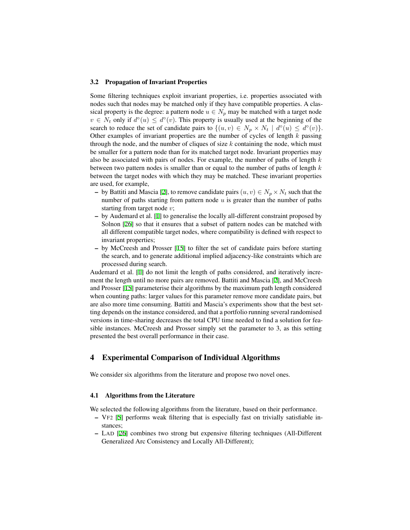#### 3.2 Propagation of Invariant Properties

Some filtering techniques exploit invariant properties, i.e. properties associated with nodes such that nodes may be matched only if they have compatible properties. A classical property is the degree: a pattern node  $u \in N_p$  may be matched with a target node  $v \in N_t$  only if  $d^\circ(u) \leq d^\circ(v)$ . This property is usually used at the beginning of the search to reduce the set of candidate pairs to  $\{(u, v) \in N_p \times N_t \mid d^\circ(u) \leq d^\circ(v)\}.$ Other examples of invariant properties are the number of cycles of length *k* passing through the node, and the number of cliques of size *k* containing the node, which must be smaller for a pattern node than for its matched target node. Invariant properties may also be associated with pairs of nodes. For example, the number of paths of length *k* between two pattern nodes is smaller than or equal to the number of paths of length *k* between the target nodes with which they may be matched. These invariant properties are used, for example,

- − by Battiti and Mascia [\[2\]](#page-13-4), to remove candidate pairs  $(u, v) \in N_p \times N_t$  such that the number of paths starting from pattern node *u* is greater than the number of paths starting from target node *v*;
- by Audemard et al. [\[1](#page-13-5)] to generalise the locally all-different constraint proposed by Solnon [\[26](#page-14-12)] so that it ensures that a subset of pattern nodes can be matched with all different compatible target nodes, where compatibility is defined with respect to invariant properties;
- by McCreesh and Prosser [\[15\]](#page-14-2) to filter the set of candidate pairs before starting the search, and to generate additional implied adjacency-like constraints which are processed during search.

Audemard et al. [[1\]](#page-13-5) do not limit the length of paths considered, and iteratively increment the length until no more pairs are removed. Battiti and Mascia [[2\]](#page-13-4), and McCreesh and Prosser [[15](#page-14-2)] parameterise their algorithms by the maximum path length considered when counting paths: larger values for this parameter remove more candidate pairs, but are also more time consuming. Battiti and Mascia's experiments show that the best setting depends on the instance considered, and that a portfolio running several randomised versions in time-sharing decreases the total CPU time needed to find a solution for feasible instances. McCreesh and Prosser simply set the parameter to 3, as this setting presented the best overall performance in their case.

## <span id="page-3-0"></span>4 Experimental Comparison of Individual Algorithms

We consider six algorithms from the literature and propose two novel ones.

#### 4.1 Algorithms from the Literature

We selected the following algorithms from the literature, based on their performance.

- VF2 [[5\]](#page-13-2) performs weak filtering that is especially fast on trivially satisfiable instances;
- LAD [[26\]](#page-14-12) combines two strong but expensive filtering techniques (All-Different Generalized Arc Consistency and Locally All-Different);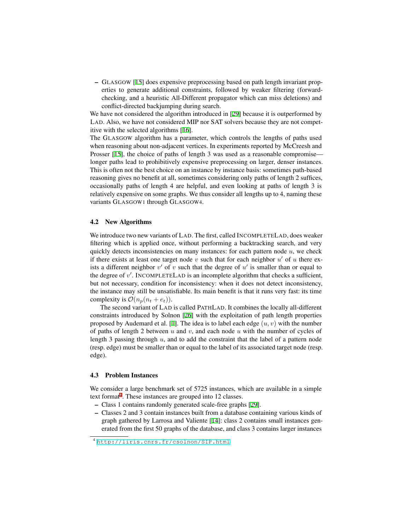– GLASGOW [\[15](#page-14-2)] does expensive preprocessing based on path length invariant properties to generate additional constraints, followed by weaker filtering (forwardchecking, and a heuristic All-Different propagator which can miss deletions) and conflict-directed backjumping during search.

We have not considered the algorithm introduced in [[29\]](#page-14-19) because it is outperformed by LAD. Also, we have not considered MIP nor SAT solvers because they are not competitive with the selected algorithms [\[16](#page-14-20)].

The GLASGOW algorithm has a parameter, which controls the lengths of paths used when reasoning about non-adjacent vertices. In experiments reported by McCreesh and Prosser [[15\]](#page-14-2), the choice of paths of length 3 was used as a reasonable compromise longer paths lead to prohibitively expensive preprocessing on larger, denser instances. This is often not the best choice on an instance by instance basis: sometimes path-based reasoning gives no benefit at all, sometimes considering only paths of length 2 suffices, occasionally paths of length 4 are helpful, and even looking at paths of length 3 is relatively expensive on some graphs. We thus consider all lengths up to 4, naming these variants GLASGOW1 through GLASGOW4.

### 4.2 New Algorithms

We introduce two new variants of LAD. The first, called INCOMPLETELAD, does weaker filtering which is applied once, without performing a backtracking search, and very quickly detects inconsistencies on many instances: for each pattern node  $u$ , we check if there exists at least one target node *v* such that for each neighbor *u ′* of *u* there exists a different neighbor *v ′* of *v* such that the degree of *u ′* is smaller than or equal to the degree of *v ′* . INCOMPLETELAD is an incomplete algorithm that checks a sufficient, but not necessary, condition for inconsistency: when it does not detect inconsistency, the instance may still be unsatisfiable. Its main benefit is that it runs very fast: its time complexity is  $\mathcal{O}(n_p(n_t + e_t)).$ 

The second variant of LAD is called PATHLAD. It combines the locally all-different constraints introduced by Solnon [[26\]](#page-14-12) with the exploitation of path length properties proposed by Audemard et al. [\[1](#page-13-5)]. The idea is to label each edge (*u, v*) with the number of paths of length 2 between *u* and *v*, and each node *u* with the number of cycles of length 3 passing through *u*, and to add the constraint that the label of a pattern node (resp. edge) must be smaller than or equal to the label of its associated target node (resp. edge).

### 4.3 Problem Instances

We consider a large benchmark set of 5725 instances, which are available in a simple text format<sup>[4](#page-4-0)</sup>. These instances are grouped into 12 classes.

- Class 1 contains randomly generated scale-free graphs [\[29](#page-14-19)].
- Classes 2 and 3 contain instances built from a database containing various kinds of graph gathered by Larrosa and Valiente [\[14](#page-14-18)]: class 2 contains small instances generated from the first 50 graphs of the database, and class 3 contains larger instances

<span id="page-4-0"></span><sup>4</sup> <http://liris.cnrs.fr/csolnon/SIP.html>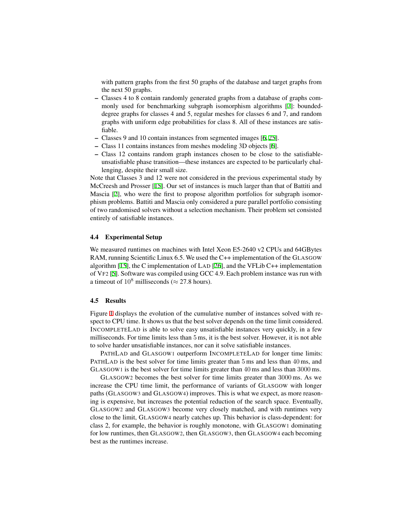with pattern graphs from the first 50 graphs of the database and target graphs from the next 50 graphs.

- Classes 4 to 8 contain randomly generated graphs from a database of graphs commonly used for benchmarking subgraph isomorphism algorithms [\[7](#page-13-6)]: boundeddegree graphs for classes 4 and 5, regular meshes for classes 6 and 7, and random graphs with uniform edge probabilities for class 8. All of these instances are satisfiable.
- Classes 9 and 10 contain instances from segmented images [[6,](#page-13-0) [25](#page-14-0)].
- Class 11 contains instances from meshes modeling 3D objects [\[6](#page-13-0)].
- Class 12 contains random graph instances chosen to be close to the satisfiableunsatisfiable phase transition—these instances are expected to be particularly challenging, despite their small size.

Note that Classes 3 and 12 were not considered in the previous experimental study by McCreesh and Prosser [[15\]](#page-14-2). Our set of instances is much larger than that of Battiti and Mascia [[2\]](#page-13-4), who were the first to propose algorithm portfolios for subgraph isomorphism problems. Battiti and Mascia only considered a pure parallel portfolio consisting of two randomised solvers without a selection mechanism. Their problem set consisted entirely of satisfiable instances.

### 4.4 Experimental Setup

We measured runtimes on machines with Intel Xeon E5-2640 v2 CPUs and 64GBytes RAM, running Scientific Linux 6.5. We used the C++ implementation of the GLASGOW algorithm [\[15](#page-14-2)], the C implementation of LAD [\[26](#page-14-12)], and the VFLib C++ implementation of VF2 [[5](#page-13-2)]. Software was compiled using GCC 4.9. Each problem instance was run with a timeout of  $10^8$  milliseconds ( $\approx$  27.8 hours).

### <span id="page-5-0"></span>4.5 Results

Figure [1](#page-6-0) displays the evolution of the cumulative number of instances solved with respect to CPU time. It shows us that the best solver depends on the time limit considered. INCOMPLETELAD is able to solve easy unsatisfiable instances very quickly, in a few milliseconds. For time limits less than 5 ms, it is the best solver. However, it is not able to solve harder unsatisfiable instances, nor can it solve satisfiable instances.

PATHLAD and GLASGOW1 outperform INCOMPLETELAD for longer time limits: PATHLAD is the best solver for time limits greater than 5 ms and less than 40 ms, and GLASGOW1 is the best solver for time limits greater than 40 ms and less than 3000 ms.

GLASGOW2 becomes the best solver for time limits greater than 3000 ms. As we increase the CPU time limit, the performance of variants of GLASGOW with longer paths (GLASGOW3 and GLASGOW4) improves. This is what we expect, as more reasoning is expensive, but increases the potential reduction of the search space. Eventually, GLASGOW2 and GLASGOW3 become very closely matched, and with runtimes very close to the limit, GLASGOW4 nearly catches up. This behavior is class-dependent: for class 2, for example, the behavior is roughly monotone, with GLASGOW1 dominating for low runtimes, then GLASGOW2, then GLASGOW3, then GLASGOW4 each becoming best as the runtimes increase.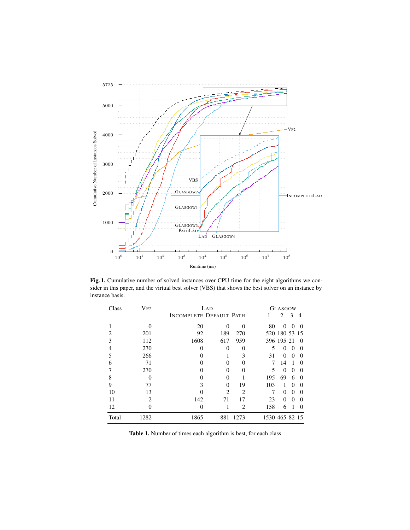

<span id="page-6-0"></span>Fig. 1. Cumulative number of solved instances over CPU time for the eight algorithms we consider in this paper, and the virtual best solver (VBS) that shows the best solver on an instance by instance basis.

| Class | VF2            | LAD                            |          | <b>GLASGOW</b> |                |               |          |                |
|-------|----------------|--------------------------------|----------|----------------|----------------|---------------|----------|----------------|
|       |                | <b>INCOMPLETE DEFAULT PATH</b> |          |                | 1              | 2             | 3        | $\overline{4}$ |
|       | $\Omega$       | 20                             | $\Omega$ | $\Omega$       | 80             | 0             | 0        | 0              |
| 2     | 201            | 92                             | 189      | 270            |                | 520 180 53 15 |          |                |
| 3     | 112            | 1608                           | 617      | 959            |                | 396 195 21    |          | $\Omega$       |
|       | 270            | $\mathbf{\Omega}$              | 0        | 0              | 5              | $\theta$      | $\Omega$ | $\Omega$       |
| 5     | 266            | $\mathbf{\Omega}$              |          | 3              | 31             | 0             | $\theta$ | 0              |
| 6     | 71             | $^{(1)}$                       | 0        | 0              | 7              | 14            | 1        | 0              |
| 7     | 270            | $\mathbf{\Omega}$              | 0        | 0              | 5              | 0             | 0        | $\Omega$       |
| 8     | 0              |                                | 0        |                | 195            | 69            | 6        | 0              |
| 9     | 77             | 3                              | 0        | 19             | 103            | 1             | $\theta$ | 0              |
| 10    | 13             | $\mathbf{\Omega}$              | 2        | 2              | 7              | 0             | 0        | 0              |
| 11    | $\mathfrak{D}$ | 142                            | 71       | 17             | 23             | 0             | 0        | 0              |
| 12    | $\theta$       | 0                              |          | 2              | 158            | 6             | 1        | 0              |
| Total | 1282           | 1865                           | 881      | 1273           | 1530 465 82 15 |               |          |                |

<span id="page-6-1"></span>Table 1. Number of times each algorithm is best, for each class.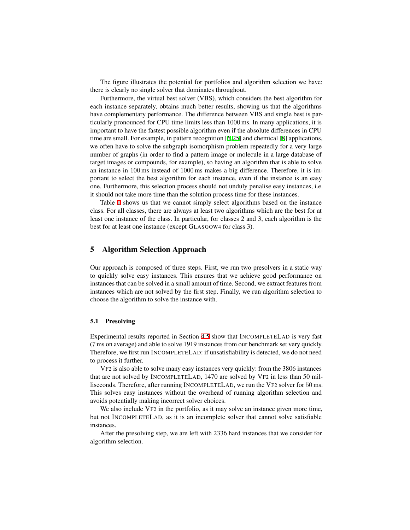The figure illustrates the potential for portfolios and algorithm selection we have: there is clearly no single solver that dominates throughout.

Furthermore, the virtual best solver (VBS), which considers the best algorithm for each instance separately, obtains much better results, showing us that the algorithms have complementary performance. The difference between VBS and single best is particularly pronounced for CPU time limits less than 1000 ms. In many applications, it is important to have the fastest possible algorithm even if the absolute differences in CPU time are small. For example, in pattern recognition [\[6](#page-13-0),[25\]](#page-14-0) and chemical [[8\]](#page-13-1) applications, we often have to solve the subgraph isomorphism problem repeatedly for a very large number of graphs (in order to find a pattern image or molecule in a large database of target images or compounds, for example), so having an algorithm that is able to solve an instance in 100 ms instead of 1000 ms makes a big difference. Therefore, it is important to select the best algorithm for each instance, even if the instance is an easy one. Furthermore, this selection process should not unduly penalise easy instances, i.e. it should not take more time than the solution process time for these instances.

Table [1](#page-6-1) shows us that we cannot simply select algorithms based on the instance class. For all classes, there are always at least two algorithms which are the best for at least one instance of the class. In particular, for classes 2 and 3, each algorithm is the best for at least one instance (except GLASGOW4 for class 3).

### <span id="page-7-0"></span>5 Algorithm Selection Approach

Our approach is composed of three steps. First, we run two presolvers in a static way to quickly solve easy instances. This ensures that we achieve good performance on instances that can be solved in a small amount of time. Second, we extract features from instances which are not solved by the first step. Finally, we run algorithm selection to choose the algorithm to solve the instance with.

#### 5.1 Presolving

Experimental results reported in Section [4.5](#page-5-0) show that INCOMPLETELAD is very fast (7 ms on average) and able to solve 1919 instances from our benchmark set very quickly. Therefore, we first run INCOMPLETELAD: if unsatisfiability is detected, we do not need to process it further.

VF2 is also able to solve many easy instances very quickly: from the 3806 instances that are not solved by INCOMPLETELAD, 1470 are solved by VF2 in less than 50 milliseconds. Therefore, after running INCOMPLETELAD, we run the VF2 solver for 50 ms. This solves easy instances without the overhead of running algorithm selection and avoids potentially making incorrect solver choices.

We also include VF2 in the portfolio, as it may solve an instance given more time, but not INCOMPLETELAD, as it is an incomplete solver that cannot solve satisfiable instances.

After the presolving step, we are left with 2336 hard instances that we consider for algorithm selection.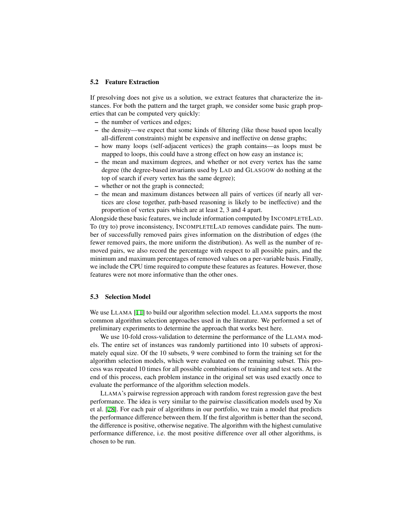### 5.2 Feature Extraction

If presolving does not give us a solution, we extract features that characterize the instances. For both the pattern and the target graph, we consider some basic graph properties that can be computed very quickly:

- the number of vertices and edges;
- the density—we expect that some kinds of filtering (like those based upon locally all-different constraints) might be expensive and ineffective on dense graphs;
- how many loops (self-adjacent vertices) the graph contains—as loops must be mapped to loops, this could have a strong effect on how easy an instance is;
- the mean and maximum degrees, and whether or not every vertex has the same degree (the degree-based invariants used by LAD and GLASGOW do nothing at the top of search if every vertex has the same degree);
- whether or not the graph is connected;
- the mean and maximum distances between all pairs of vertices (if nearly all vertices are close together, path-based reasoning is likely to be ineffective) and the proportion of vertex pairs which are at least 2, 3 and 4 apart.

Alongside these basic features, we include information computed by INCOMPLETELAD. To (try to) prove inconsistency, INCOMPLETELAD removes candidate pairs. The number of successfully removed pairs gives information on the distribution of edges (the fewer removed pairs, the more uniform the distribution). As well as the number of removed pairs, we also record the percentage with respect to all possible pairs, and the minimum and maximum percentages of removed values on a per-variable basis. Finally, we include the CPU time required to compute these features as features. However, those features were not more informative than the other ones.

#### 5.3 Selection Model

We use LLAMA [\[11](#page-14-13)] to build our algorithm selection model. LLAMA supports the most common algorithm selection approaches used in the literature. We performed a set of preliminary experiments to determine the approach that works best here.

We use 10-fold cross-validation to determine the performance of the LLAMA models. The entire set of instances was randomly partitioned into 10 subsets of approximately equal size. Of the 10 subsets, 9 were combined to form the training set for the algorithm selection models, which were evaluated on the remaining subset. This process was repeated 10 times for all possible combinations of training and test sets. At the end of this process, each problem instance in the original set was used exactly once to evaluate the performance of the algorithm selection models.

LLAMA's pairwise regression approach with random forest regression gave the best performance. The idea is very similar to the pairwise classification models used by Xu et al. [[28\]](#page-14-7). For each pair of algorithms in our portfolio, we train a model that predicts the performance difference between them. If the first algorithm is better than the second, the difference is positive, otherwise negative. The algorithm with the highest cumulative performance difference, i.e. the most positive difference over all other algorithms, is chosen to be run.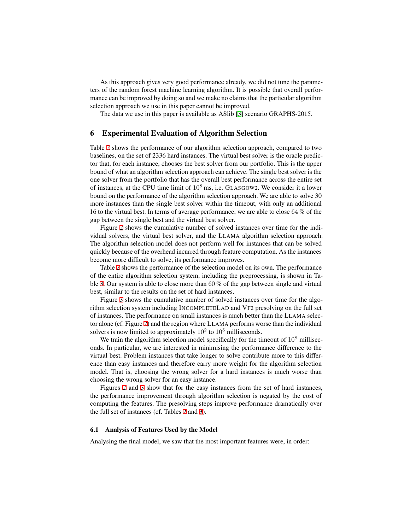As this approach gives very good performance already, we did not tune the parameters of the random forest machine learning algorithm. It is possible that overall performance can be improved by doing so and we make no claims that the particular algorithm selection approach we use in this paper cannot be improved.

The data we use in this paper is available as ASlib [\[3](#page-13-7)] scenario GRAPHS-2015.

### <span id="page-9-0"></span>6 Experimental Evaluation of Algorithm Selection

Table [2](#page-10-0) shows the performance of our algorithm selection approach, compared to two baselines, on the set of 2336 hard instances. The virtual best solver is the oracle predictor that, for each instance, chooses the best solver from our portfolio. This is the upper bound of what an algorithm selection approach can achieve. The single best solver is the one solver from the portfolio that has the overall best performance across the entire set of instances, at the CPU time limit of  $10^8$  ms, i.e. GLASGOW2. We consider it a lower bound on the performance of the algorithm selection approach. We are able to solve 30 more instances than the single best solver within the timeout, with only an additional 16 to the virtual best. In terms of average performance, we are able to close 64 % of the gap between the single best and the virtual best solver.

Figure [2](#page-10-1) shows the cumulative number of solved instances over time for the individual solvers, the virtual best solver, and the LLAMA algorithm selection approach. The algorithm selection model does not perform well for instances that can be solved quickly because of the overhead incurred through feature computation. As the instances become more difficult to solve, its performance improves.

Table [2](#page-10-0) shows the performance of the selection model on its own. The performance of the entire algorithm selection system, including the preprocessing, is shown in Table [3](#page-11-0). Our system is able to close more than 60 % of the gap between single and virtual best, similar to the results on the set of hard instances.

Figure [3](#page-11-1) shows the cumulative number of solved instances over time for the algorithm selection system including INCOMPLETELAD and VF2 presolving on the full set of instances. The performance on small instances is much better than the LLAMA selector alone (cf. Figure [2\)](#page-10-1) and the region where LLAMA performs worse than the individual solvers is now limited to approximately  $10^2$  to  $10^5$  milliseconds.

We train the algorithm selection model specifically for the timeout of  $10^8$  milliseconds. In particular, we are interested in minimising the performance difference to the virtual best. Problem instances that take longer to solve contribute more to this difference than easy instances and therefore carry more weight for the algorithm selection model. That is, choosing the wrong solver for a hard instances is much worse than choosing the wrong solver for an easy instance.

Figures [2](#page-10-1) and [3](#page-11-1) show that for the easy instances from the set of hard instances, the performance improvement through algorithm selection is negated by the cost of computing the features. The presolving steps improve performance dramatically over the full set of instances (cf. Tables [2](#page-10-0) and [3\)](#page-11-0).

#### 6.1 Analysis of Features Used by the Model

Analysing the final model, we saw that the most important features were, in order: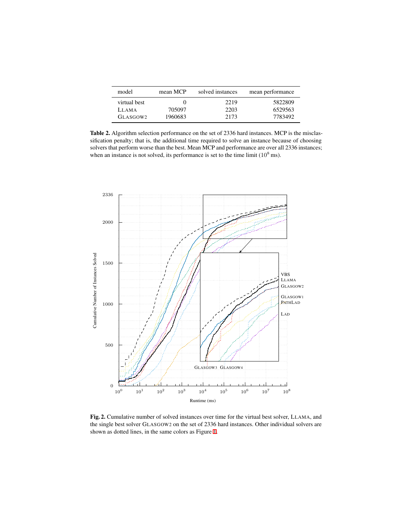| model                                         | mean MCP          | solved instances     | mean performance              |
|-----------------------------------------------|-------------------|----------------------|-------------------------------|
| virtual best<br>LLAMA<br>GLASGOW <sub>2</sub> | 705097<br>1960683 | 2219<br>2203<br>2173 | 5822809<br>6529563<br>7783492 |

<span id="page-10-0"></span>Table 2. Algorithm selection performance on the set of 2336 hard instances. MCP is the misclassification penalty; that is, the additional time required to solve an instance because of choosing solvers that perform worse than the best. Mean MCP and performance are over all 2336 instances; when an instance is not solved, its performance is set to the time limit  $(10^8 \text{ ms})$ .



<span id="page-10-1"></span>Fig. 2. Cumulative number of solved instances over time for the virtual best solver, LLAMA, and the single best solver GLASGOW2 on the set of 2336 hard instances. Other individual solvers are shown as dotted lines, in the same colors as Figure [1](#page-6-0).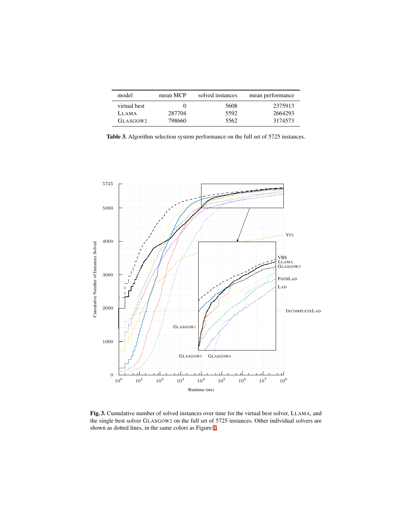| model        | mean MCP | solved instances | mean performance |
|--------------|----------|------------------|------------------|
| virtual best |          | 5608             | 2375913          |
| LLAMA        | 287704   | 5592             | 2664293          |
| GLASGOW2     | 798660   | 5562             | 3174573          |

<span id="page-11-0"></span>Table 3. Algorithm selection system performance on the full set of 5725 instances.



<span id="page-11-1"></span>Fig. 3. Cumulative number of solved instances over time for the virtual best solver, LLAMA, and the single best solver GLASGOW2 on the full set of 5725 instances. Other individual solvers are shown as dotted lines, in the same colors as Figure [1](#page-6-0).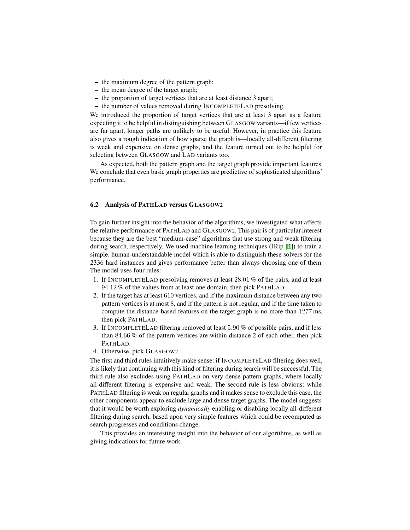- the maximum degree of the pattern graph;
- the mean degree of the target graph;
- the proportion of target vertices that are at least distance 3 apart;
- the number of values removed during INCOMPLETELAD presolving.

We introduced the proportion of target vertices that are at least 3 apart as a feature expecting it to be helpful in distinguishing between GLASGOW variants—if few vertices are far apart, longer paths are unlikely to be useful. However, in practice this feature also gives a rough indication of how sparse the graph is—locally all-different filtering is weak and expensive on dense graphs, and the feature turned out to be helpful for selecting between GLASGOW and LAD variants too.

As expected, both the pattern graph and the target graph provide important features. We conclude that even basic graph properties are predictive of sophisticated algorithms' performance.

#### 6.2 Analysis of PATHLAD versus GLASGOW2

To gain further insight into the behavior of the algorithms, we investigated what affects the relative performance of PATHLAD and GLASGOW2. This pair is of particular interest because they are the best "medium-case" algorithms that use strong and weak filtering during search, respectively. We used machine learning techniques (JRip [[4\]](#page-13-8)) to train a simple, human-understandable model which is able to distinguish these solvers for the 2336 hard instances and gives performance better than always choosing one of them. The model uses four rules:

- 1. If INCOMPLETELAD presolving removes at least 28*.*01 % of the pairs, and at least 94*.*12 % of the values from at least one domain, then pick PATHLAD.
- 2. If the target has at least 610 vertices, and if the maximum distance between any two pattern vertices is at most 8, and if the pattern is not regular, and if the time taken to compute the distance-based features on the target graph is no more than 1277 ms, then pick PATHLAD.
- 3. If INCOMPLETELAD filtering removed at least 5*.*90 % of possible pairs, and if less than 84*.*66 % of the pattern vertices are within distance 2 of each other, then pick PATHLAD.
- 4. Otherwise, pick GLASGOW2.

The first and third rules intuitively make sense: if INCOMPLETELAD filtering does well, it is likely that continuing with this kind of filtering during search will be successful. The third rule also excludes using PATHLAD on very dense pattern graphs, where locally all-different filtering is expensive and weak. The second rule is less obvious: while PATHLAD filtering is weak on regular graphs and it makes sense to exclude this case, the other components appear to exclude large and dense target graphs. The model suggests that it would be worth exploring *dynamically* enabling or disabling locally all-different filtering during search, based upon very simple features which could be recomputed as search progresses and conditions change.

This provides an interesting insight into the behavior of our algorithms, as well as giving indications for future work.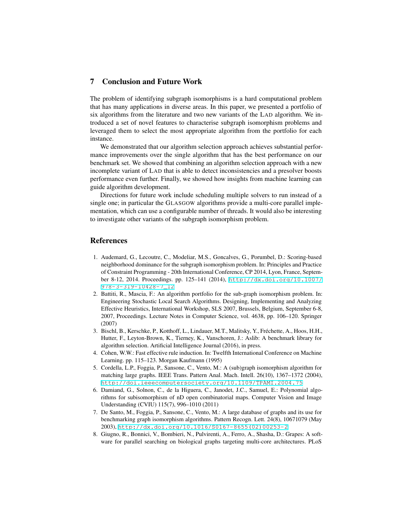# <span id="page-13-3"></span>7 Conclusion and Future Work

The problem of identifying subgraph isomorphisms is a hard computational problem that has many applications in diverse areas. In this paper, we presented a portfolio of six algorithms from the literature and two new variants of the LAD algorithm. We introduced a set of novel features to characterise subgraph isomorphism problems and leveraged them to select the most appropriate algorithm from the portfolio for each instance.

We demonstrated that our algorithm selection approach achieves substantial performance improvements over the single algorithm that has the best performance on our benchmark set. We showed that combining an algorithm selection approach with a new incomplete variant of LAD that is able to detect inconsistencies and a presolver boosts performance even further. Finally, we showed how insights from machine learning can guide algorithm development.

Directions for future work include scheduling multiple solvers to run instead of a single one; in particular the GLASGOW algorithms provide a multi-core parallel implementation, which can use a configurable number of threads. It would also be interesting to investigate other variants of the subgraph isomorphism problem.

### References

- <span id="page-13-5"></span>1. Audemard, G., Lecoutre, C., Modeliar, M.S., Goncalves, G., Porumbel, D.: Scoring-based neighborhood dominance for the subgraph isomorphism problem. In: Principles and Practice of Constraint Programming - 20th International Conference, CP 2014, Lyon, France, September 8-12, 2014. Proceedings. pp. 125–141 (2014), [http://dx.doi.org/10.1007/](http://dx.doi.org/10.1007/978-3-319-10428-7_12) [978-3-319-10428-7\\_12](http://dx.doi.org/10.1007/978-3-319-10428-7_12)
- <span id="page-13-4"></span>2. Battiti, R., Mascia, F.: An algorithm portfolio for the sub-graph isomorphism problem. In: Engineering Stochastic Local Search Algorithms. Designing, Implementing and Analyzing Effective Heuristics, International Workshop, SLS 2007, Brussels, Belgium, September 6-8, 2007, Proceedings. Lecture Notes in Computer Science, vol. 4638, pp. 106–120. Springer (2007)
- <span id="page-13-7"></span>3. Bischl, B., Kerschke, P., Kotthoff, L., Lindauer, M.T., Malitsky, Y., Frechette, A., Hoos, H.H., ´ Hutter, F., Leyton-Brown, K., Tierney, K., Vanschoren, J.: Aslib: A benchmark library for algorithm selection. Artificial Intelligence Journal (2016), in press.
- <span id="page-13-8"></span>4. Cohen, W.W.: Fast effective rule induction. In: Twelfth International Conference on Machine Learning. pp. 115–123. Morgan Kaufmann (1995)
- <span id="page-13-2"></span>5. Cordella, L.P., Foggia, P., Sansone, C., Vento, M.: A (sub)graph isomorphism algorithm for matching large graphs. IEEE Trans. Pattern Anal. Mach. Intell. 26(10), 1367–1372 (2004), <http://doi.ieeecomputersociety.org/10.1109/TPAMI.2004.75>
- <span id="page-13-0"></span>6. Damiand, G., Solnon, C., de la Higuera, C., Janodet, J.C., Samuel, E.: Polynomial algorithms for subisomorphism of nD open combinatorial maps. Computer Vision and Image Understanding (CVIU) 115(7), 996–1010 (2011)
- <span id="page-13-6"></span>7. De Santo, M., Foggia, P., Sansone, C., Vento, M.: A large database of graphs and its use for benchmarking graph isomorphism algorithms. Pattern Recogn. Lett. 24(8), 10671079 (May 2003), [http://dx.doi.org/10.1016/S0167-8655\(02\)00253-2](http://dx.doi.org/10.1016/S0167-8655(02)00253-2)
- <span id="page-13-1"></span>8. Giugno, R., Bonnici, V., Bombieri, N., Pulvirenti, A., Ferro, A., Shasha, D.: Grapes: A software for parallel searching on biological graphs targeting multi-core architectures. PLoS